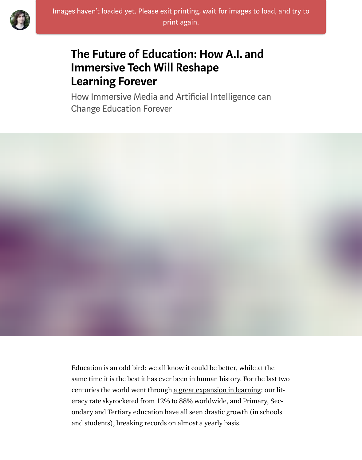#### Immersive Tech Will Reshape [Lea](https://medium.com/@lucasrizzotto?source=post_header_lockup)rning Forever

How Immersive Media and Artificial Intelligence can Change Education Forever

Education is an odd bird: we all know it could be better, while at the same time it is the best it has ever been in human history. For the last two centuries the world went through a great expansion in learning: our literacy rate skyrocketed from 12% to 88% worldwide, and Primary, Secondary and Tertiary education have all seen drastic growth (in schools and students), breaking records on almost a yearly basis.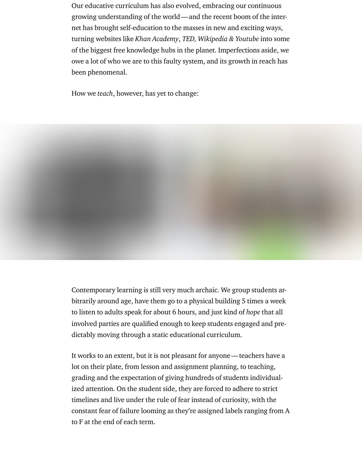Our educative curriculum has also evolved, embracing our continuous growing understanding of the world—and the recent boom of the internet has brought self-education to the masses in new and exciting ways, turning websites like Khan Academy, TED, Wikipedia & Youtube into some of the biggest free knowledge hubs in the planet. Imperfections aside, we owe a lot of who we are to this faulty system, and its growth in reach has been phenomenal.

How we teach, however, has yet to change:



It works to an extent, but it is not pleasant for anyone—teachers have a lot on their plate, from lesson and assignment planning, to teaching, grading and the expectation of giving hundreds of students individualized attention. On the student side, they are forced to adhere to strict timelines and live under the rule of fear instead of curiosity, with the constant fear of failure looming as they're assigned labels ranging from A to F at the end of each term.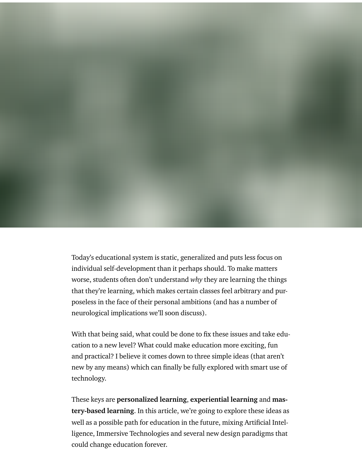Today's educational system is static, generalized and puts less focus on individual self-development than it perhaps should. To make matters worse, students often don't understand why they are learning the things that they're learning, which makes certain classes feel arbitrary and purposeless in the face of their personal ambitions (and has a number of neurological implications we'll soon discuss).

With that being said, what could be done to fix these issues and take education to a new level? What could make education more exciting, fun and practical? I believe it comes down to three simple ideas (that aren't new by any means) which can finally be fully explored with smart use of technology.

These keys are personalized learning, experiential learning and mastery-based learning. In this article, we're going to explore these ideas as well as a possible path for education in the future, mixing Artificial Intelligence, Immersive Technologies and several new design paradigms that could change education forever.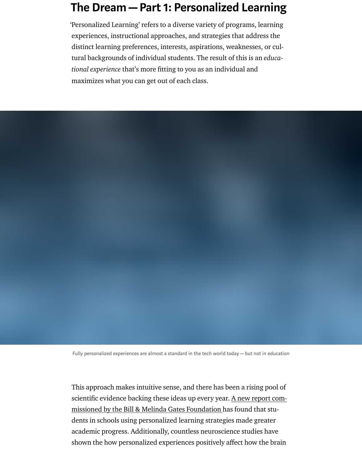tional experience that's more fitting to you as an individual and maximizes what you can get out of each class.

Fully personalized experiences are almost a standard in the tech world today—but not in education

This approach makes intuitive sense, and there has been a rising pool of scientific evidence backing these ideas up every year. A new report commissioned by the Bill & Melinda Gates Foundation has found that students in schools using personalized learning strategies made greater academic progress. Additionally, countless neuroscience studies have shown the how personalized experiences positively affect how the brain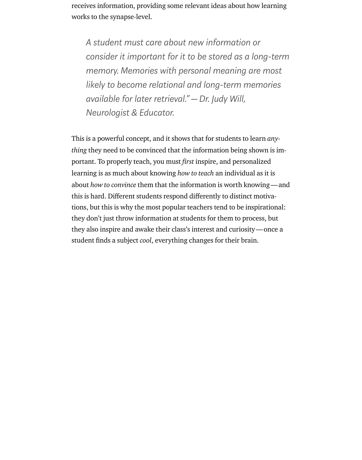receives information, providing some relevant ideas about how learning works to the synapse-level.

A student must care about new information or consider it important for it to be stored as a long-term memory. Memories with personal meaning are most likely to become relational and long-term memories available for later retrieval."—Dr. Judy Will, Neurologist & Educator.

This is a powerful concept, and it shows that for students to learn anything they need to be convinced that the information being shown is important. To properly teach, you must first inspire, and personalized learning is as much about knowing how to teach an individual as it is about how to convince them that the information is worth knowing—and this is hard. Different students respond differently to distinct motivations, but this is why the most popular teachers tend to be inspirational: they don't just throw information at students for them to process, but they also inspire and awake their class's interest and curiosity—once a student finds a subject cool, everything changes for their brain.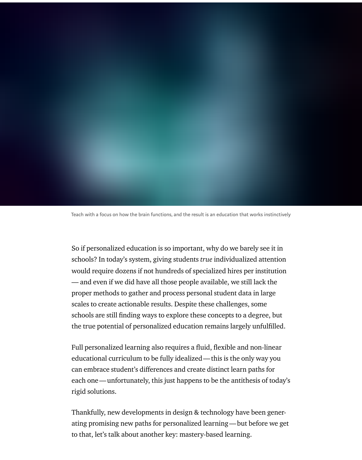Teach with a focus on how the brain functions, and the result is an education that works instinctively

So if personalized education is so important, why do we barely see it in schools? In today's system, giving students true individualized attention would require dozens if not hundreds of specialized hires per institution — and even if we did have all those people available, we still lack the proper methods to gather and process personal student data in large scales to create actionable results. Despite these challenges, some schools are still finding ways to explore these concepts to a degree, but the true potential of personalized education remains largely unfulfilled.

Full personalized learning also requires a fluid, flexible and non-linear educational curriculum to be fully idealized—this is the only way you can embrace student's differences and create distinct learn paths for each one—unfortunately, this just happens to be the antithesis of today's rigid solutions.

Thankfully, new developments in design & technology have been generating promising new paths for personalized learning—but before we get to that, let's talk about another key: mastery-based learning.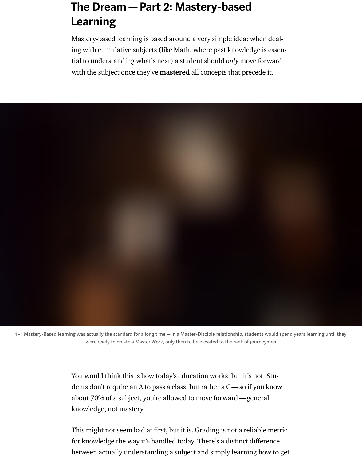# The Dream—Part 2: Mastery-based Learning

Mastery-based learning is based around a very simple idea: when dealing with cumulative subjects (like Math, where past knowledge is essential to understanding what's next) a student should only move forward with the subject once they've **mastered** all concepts that precede it.



1–1 Mastery-Based learning was actually the standard for a long time—in a Master-Disciple relationship, students would spend years learning until they were ready to create a Master Work, only then to be elevated to the rank of journeymen

> You would think this is how today's education works, but it's not. Students don't require an A to pass a class, but rather a C—so if you know about 70% of a subject, you're allowed to move forward—general knowledge, not mastery.

This might not seem bad at first, but it is. Grading is not a reliable metric for knowledge the way it's handled today. There's a distinct difference between actually understanding a subject and simply learning how to get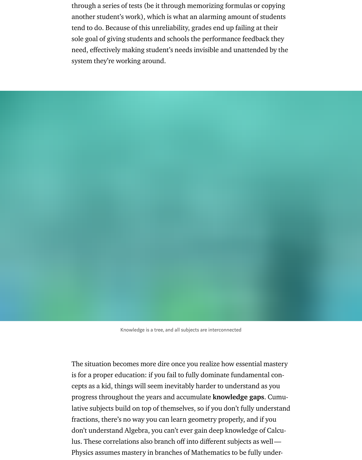through a series of tests (be it through memorizing formulas or copying another student's work), which is what an alarming amount of students tend to do. Because of this unreliability, grades end up failing at their sole goal of giving students and schools the performance feedback they need, effectively making student's needs invisible and unattended by the system they're working around.



The situation becomes more dire once you realize how essential mastery is for a proper education: if you fail to fully dominate fundamental concepts as a kid, things will seem inevitably harder to understand as you progress throughout the years and accumulate knowledge gaps. Cumulative subjects build on top of themselves, so if you don't fully understand fractions, there's no way you can learn geometry properly, and if you don't understand Algebra, you can't ever gain deep knowledge of Calculus. These correlations also branch off into different subjects as well— Physics assumes mastery in branches of Mathematics to be fully under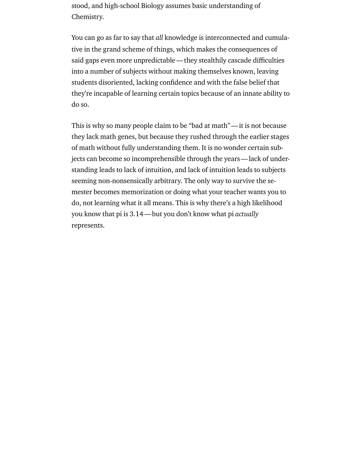stood, and high-school Biology assumes basic understanding of Chemistry.

You can go as far to say that all knowledge is interconnected and cumulative in the grand scheme of things, which makes the consequences of said gaps even more unpredictable—they stealthily cascade difficulties into a number of subjects without making themselves known, leaving students disoriented, lacking confidence and with the false belief that they're incapable of learning certain topics because of an innate ability to do so.

This is why so many people claim to be "bad at math"—it is not because they lack math genes, but because they rushed through the earlier stages of math without fully understanding them. It is no wonder certain subjects can become so incomprehensible through the years—lack of understanding leads to lack of intuition, and lack of intuition leads to subjects seeming non-nonsensically arbitrary. The only way to survive the semester becomes memorization or doing what your teacher wants you to do, not learning what it all means. This is why there's a high likelihood you know that pi is 3.14—but you don't know what pi actually represents.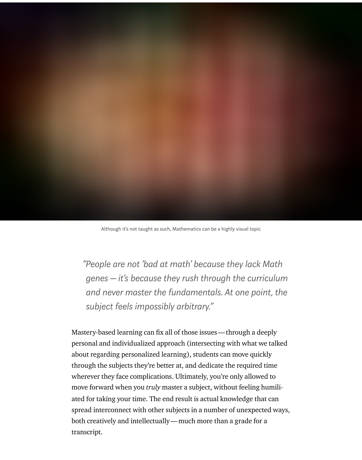

"People are not 'bad at math' because they lack Math genes—it's because they rush through the curriculum and never master the fundamentals. At one point, the subject feels impossibly arbitrary."

Mastery-based learning can fix all of those issues—through a deeply personal and individualized approach (intersecting with what we talked about regarding personalized learning), students can move quickly through the subjects they're better at, and dedicate the required time wherever they face complications. Ultimately, you're only allowed to move forward when you *truly* master a subject, without feeling humiliated for taking your time. The end result is actual knowledge that can spread interconnect with other subjects in a number of unexpected ways, both creatively and intellectually—much more than a grade for a transcript.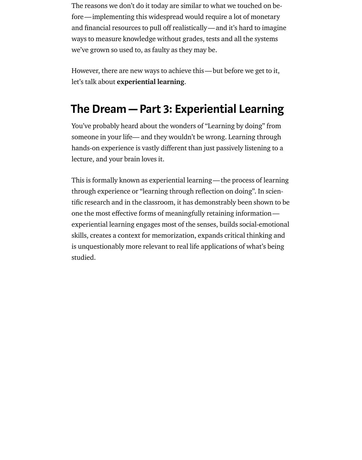The reasons we don't do it today are similar to what we touched on before—implementing this widespread would require a lot of monetary and financial resources to pull off realistically—and it's hard to imagine ways to measure knowledge without grades, tests and all the systems we've grown so used to, as faulty as they may be.

However, there are new ways to achieve this—but before we get to it, let's talk about experiential learning.

### The Dream—Part 3: Experiential Learning

You've probably heard about the wonders of "Learning by doing" from someone in your life— and they wouldn't be wrong. Learning through hands-on experience is vastly different than just passively listening to a lecture, and your brain loves it.

This is formally known as experiential learning—the process of learning through experience or "learning through reflection on doing". In scientific research and in the classroom, it has demonstrably been shown to be one the most effective forms of meaningfully retaining information experiential learning engages most of the senses, builds social-emotional skills, creates a context for memorization, expands critical thinking and is unquestionably more relevant to real life applications of what's being studied.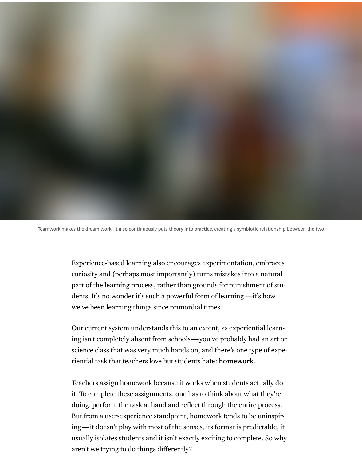

Teamwork makes the dream work! It also continuously puts theory into practice, creating a symbiotic relationship between the two

Experience-based learning also encourages experimentation, embraces curiosity and (perhaps most importantly) turns mistakes into a natural part of the learning process, rather than grounds for punishment of students. It's no wonder it's such a powerful form of learning —it's how we've been learning things since primordial times.

Our current system understands this to an extent, as experiential learning isn't completely absent from schools—you've probably had an art or science class that was very much hands on, and there's one type of experiential task that teachers love but students hate: homework.

Teachers assign homework because it works when students actually do it. To complete these assignments, one has to think about what they're doing, perform the task at hand and reflect through the entire process. But from a user-experience standpoint, homework tends to be uninspiring—it doesn't play with most of the senses, its format is predictable, it usually isolates students and it isn't exactly exciting to complete. So why aren't we trying to do things differently?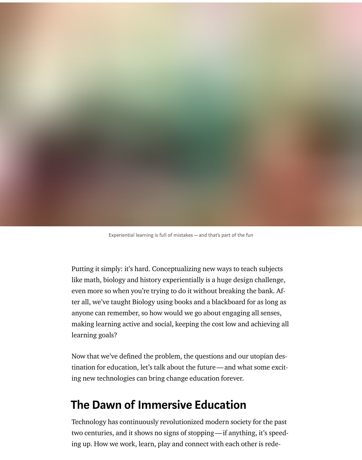

Putting it simply: it's hard. Conceptualizing new ways to teach subjects like math, biology and history experientially is a huge design challenge, even more so when you're trying to do it without breaking the bank. After all, we've taught Biology using books and a blackboard for as long as anyone can remember, so how would we go about engaging all senses, making learning active and social, keeping the cost low and achieving all learning goals?

Now that we've defined the problem, the questions and our utopian destination for education, let's talk about the future—and what some exciting new technologies can bring change education forever.

### The Dawn of Immersive Education

Technology has continuously revolutionized modern society for the past two centuries, and it shows no signs of stopping—if anything, it's speeding up. How we work, learn, play and connect with each other is rede-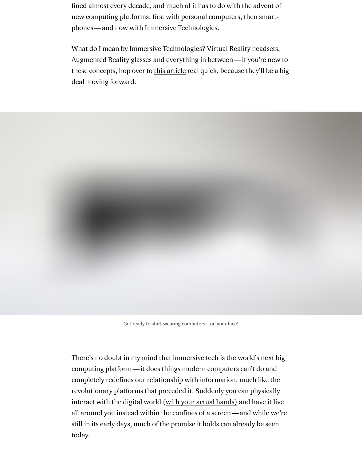Augmented Reality glasses and everything in between—if you're new to these concepts, hop over to this article real quick, because they'll be a big deal moving forward.



Get ready to start wearing computers... on your face!

There's no doubt in my mind that immersive tech is the world's next big computing platform—it does things modern computers can't do and completely redefines our relationship with information, much like the revolutionary platforms that preceded it. Suddenly you can physically interact with the digital world (with your actual hands) and have it live all around you instead within the confines of a screen—and while we're still in its early days, much of the promise it holds can already be seen today.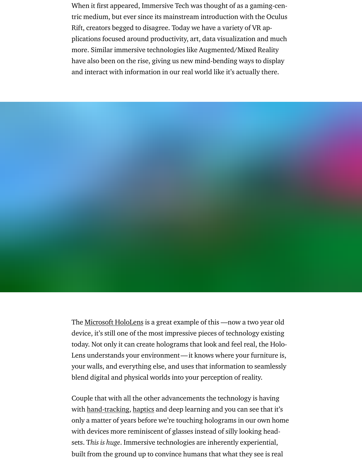have also been on the rise, giving us new mind-bending ways to display and interact with information in our real world like it's actually there.

The Microsoft HoloLens is a great example of this —now a two year old device, it's still one of the most impressive pieces of technology existing today. Not only it can create holograms that look and feel real, the Holo-Lens understands your environment—it knows where your furniture is, your walls, and everything else, and uses that information to seamlessly ble[nd digital and physica](https://www.microsoft.com/en-us/hololens)l worlds into your perception of reality.

Couple that with all the other advancements the technology is having with hand-tracking, haptics and deep learning and you can see that it's only a matter of years before we're touching holograms in our own home with devices more reminiscent of glasses instead of silly looking headsets. This is huge. Immersive technologies are inherently experiential, built from the ground up to convince humans that what they see is real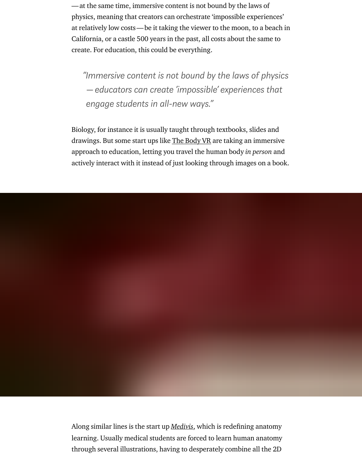"Immersive content is not bound by the laws of physics —educators can create 'impossible' experiences that engage students in all-new ways."

Biology, for instance it is usually taught through textbooks, slides and drawings. But some start ups like The Body VR are taking an immersive approach to education, letting you travel the human body in person and actively interact with it instead of just looking through images on a book.

Along similar lines is the start up *Medivis*, which is redefining anatomy learning. Usually medical students are forced to learn human anatomy through several illustrations, having to desperately combine all the 2D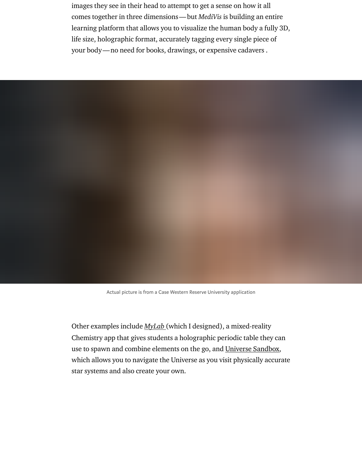Actual picture is from a Case Western Reserve University application

Other examples include MyLab (which I designed), a mixed-reality Chemistry app that gives students a holographic periodic table they can use to spawn and combine elements on the go, and Universe Sandbox, which allows you to navigate the Universe as you visit physically accurate star systems and also create your own.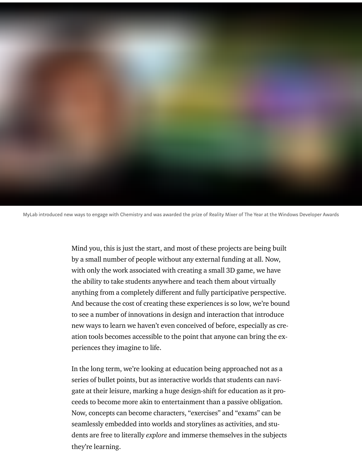

MyLab introduced new ways to engage with Chemistry and was awarded the prize of Reality Mixer of The Year at the Windows Developer Awards

Mind you, this is just the start, and most of these projects are being built by a small number of people without any external funding at all. Now, with only the work associated with creating a small 3D game, we have the ability to take students anywhere and teach them about virtually anything from a completely different and fully participative perspective. And because the cost of creating these experiences is so low, we're bound to see a number of innovations in design and interaction that introduce new ways to learn we haven't even conceived of before, especially as creation tools becomes accessible to the point that anyone can bring the experiences they imagine to life.

In the long term, we're looking at education being approached not as a series of bullet points, but as interactive worlds that students can navigate at their leisure, marking a huge design-shift for education as it proceeds to become more akin to entertainment than a passive obligation. Now, concepts can become characters, "exercises" and "exams" can be seamlessly embedded into worlds and storylines as activities, and students are free to literally explore and immerse themselves in the subjects they're learning.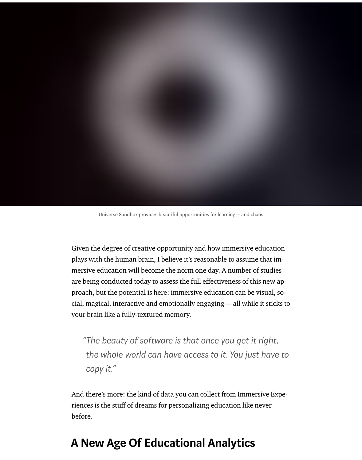

Universe Sandbox provides beautiful opportunities for learning—and chaos

Given the degree of creative opportunity and how immersive education plays with the human brain, I believe it's reasonable to assume that immersive education will become the norm one day. A number of studies are being conducted today to assess the full effectiveness of this new approach, but the potential is here: immersive education can be visual, social, magical, interactive and emotionally engaging—all while it sticks to your brain like a fully-textured memory.

"The beauty of software is that once you get it right, the whole world can have access to it. You just have to copy it."

And there's more: the kind of data you can collect from Immersive Experiences is the stuff of dreams for personalizing education like never before.

#### A New Age Of Educational Analytics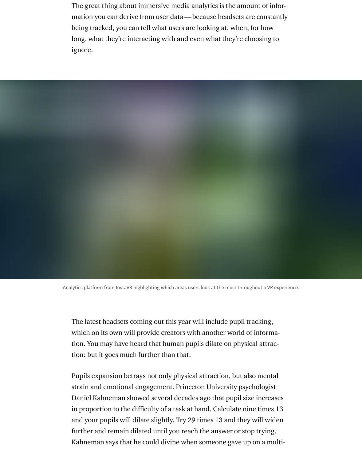The great thing about immersive media analytics is the amount of information you can derive from user data—because headsets are constantly being tracked, you can tell what users are looking at, when, for how long, what they're interacting with and even what they're choosing to ignore.



Analytics platform from InstaVR highlighting which areas users look at the most throughout a VR experience.

The latest headsets coming out this year will include pupil tracking, which on its own will provide creators with another world of information. You may have heard that human pupils dilate on physical attraction: but it goes much further than that.

Pupils expansion betrays not only physical attraction, but also mental strain and emotional engagement. Princeton University psychologist Daniel Kahneman showed several decades ago that pupil size increases in proportion to the difficulty of a task at hand. Calculate nine times 13 and your pupils will dilate slightly. Try 29 times 13 and they will widen further and remain dilated until you reach the answer or stop trying. Kahneman says that he could divine when someone gave up on a multi-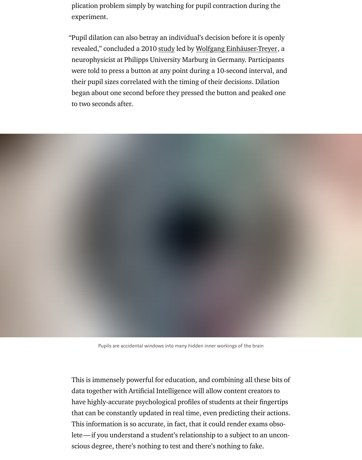neurophysicist at Philipps University Marburg in Germany. Participants were told to press a button at any point during a 10-second interval, and their pupil sizes correlated with the timing of their decisions. Dilation began about one second before they pressed the button and peaked one to two seconds after.



This is immensely powerful for education, and combining all these bits of data together with Artificial Intelligence will allow content creators to have highly-accurate psychological profiles of students at their fingertips that can be constantly updated in real time, even predicting their actions. This information is so accurate, in fact, that it could render exams obsolete—if you understand a student's relationship to a subject to an unconscious degree, there's nothing to test and there's nothing to fake.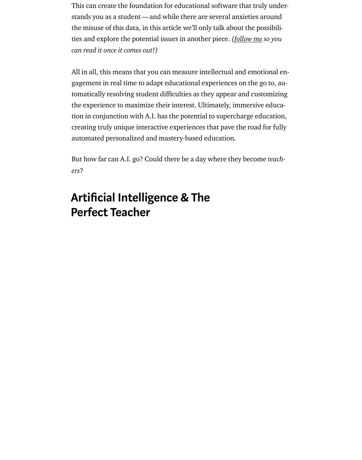All in all, this means that you can measure intellectual and emotional engagement in real time to adapt educational experiences on the go to, automatically resolving student difficulties as they appear and customizing the experience to maximize their interest. Ultimately, [immersive](https://twitter.com/_LucasRizzotto) education in conjunction with A.I. has the potential to supercharge education, creating truly unique interactive experiences that pave the road for fully automated personalized and mastery-based education.

But how far can A.I. go? Could there be a day where they become teachers?

## Artificial Intelligence & The Perfect Teacher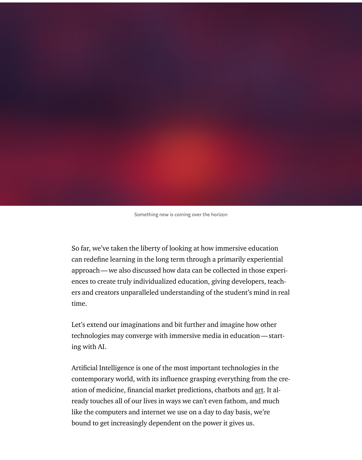Something new is coming over the horizon

So far, we've taken the liberty of looking at how immersive education can redefine learning in the long term through a primarily experiential approach—we also discussed how data can be collected in those experiences to create truly individualized education, giving developers, teachers and creators unparalleled understanding of the student's mind in real time.

Let's extend our imaginations and bit further and imagine how other technologies may converge with immersive media in education—starting with AI.

Artificial Intelligence is one of the most important technologies in the contemporary world, with its influence grasping everything from the creation of medicine, financial market predictions, chatbots and art. It already touches all of our lives in ways we can't even fathom, and much like the computers and internet we use on a day to day basis, we're bound to get increasingly dependent on the power it gives us.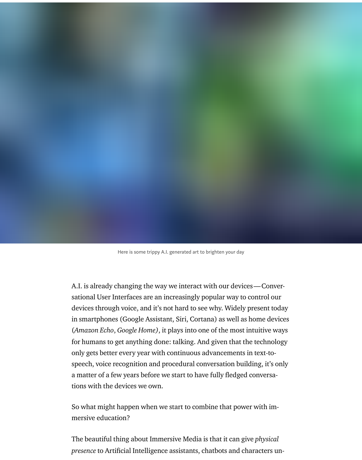

A.I. is already changing the way we interact with our devices—Conversational User Interfaces are an increasingly popular way to control our devices through voice, and it's not hard to see why. Widely present today in smartphones (Google Assistant, Siri, Cortana) as well as home devices (Amazon Echo, Google Home), it plays into one of the most intuitive ways for humans to get anything done: talking. And given that the technology only gets better every year with continuous advancements in text-tospeech, voice recognition and procedural conversation building, it's only a matter of a few years before we start to have fully fledged conversations with the devices we own.

So what might happen when we start to combine that power with immersive education?

The beautiful thing about Immersive Media is that it can give physical presence to Artificial Intelligence assistants, chatbots and characters un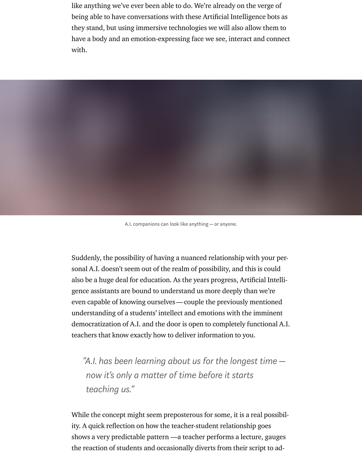like anything we've ever been able to do. We're already on the verge of being able to have conversations with these Artificial Intelligence bots as they stand, but using immersive technologies we will also allow them to have a body and an emotion-expressing face we see, interact and connect with.



A.I. companions can look like anything—or anyone.

Suddenly, the possibility of having a nuanced relationship with your personal A.I. doesn't seem out of the realm of possibility, and this is could also be a huge deal for education. As the years progress, Artificial Intelligence assistants are bound to understand us more deeply than we're even capable of knowing ourselves—couple the previously mentioned understanding of a students' intellect and emotions with the imminent democratization of A.I. and the door is open to completely functional A.I. teachers that know exactly how to deliver information to you.

"A.I. has been learning about us for the longest time now it's only a matter of time before it starts teaching us."

While the concept might seem preposterous for some, it is a real possibility. A quick reflection on how the teacher-student relationship goes shows a very predictable pattern —a teacher performs a lecture, gauges the reaction of students and occasionally diverts from their script to ad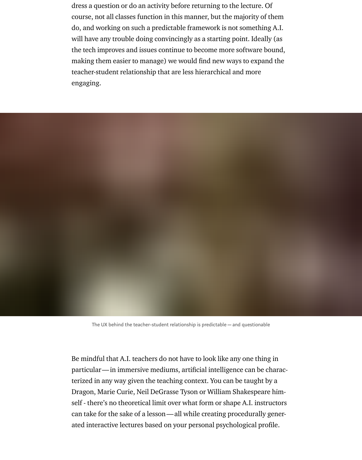dress a question or do an activity before returning to the lecture. Of course, not all classes function in this manner, but the majority of them do, and working on such a predictable framework is not something A.I. will have any trouble doing convincingly as a starting point. Ideally (as the tech improves and issues continue to become more software bound, making them easier to manage) we would find new ways to expand the teacher-student relationship that are less hierarchical and more engaging.



The UX behind the teacher-student relationship is predictable—and questionable

Be mindful that A.I. teachers do not have to look like any one thing in particular—in immersive mediums, artificial intelligence can be characterized in any way given the teaching context. You can be taught by a Dragon, Marie Curie, Neil DeGrasse Tyson or William Shakespeare himself - there's no theoretical limit over what form or shape A.I. instructors can take for the sake of a lesson—all while creating procedurally generated interactive lectures based on your personal psychological profile.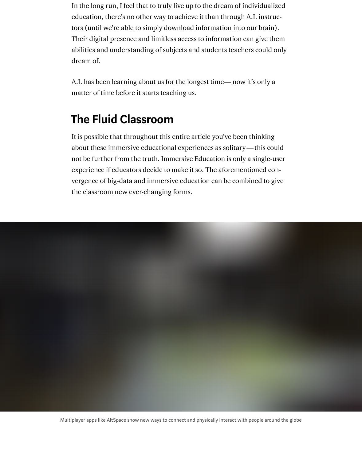In the long run, I feel that to truly live up to the dream of individualized education, there's no other way to achieve it than through A.I. instructors (until we're able to simply download information into our brain). Their digital presence and limitless access to information can give them abilities and understanding of subjects and students teachers could only dream of.

A.I. has been learning about us for the longest time— now it's only a matter of time before it starts teaching us.

### The Fluid Classroom

It is possible that throughout this entire article you've been thinking about these immersive educational experiences as solitary—this could not be further from the truth. Immersive Education is only a single-user experience if educators decide to make it so. The aforementioned convergence of big-data and immersive education can be combined to give the classroom new ever-changing forms.

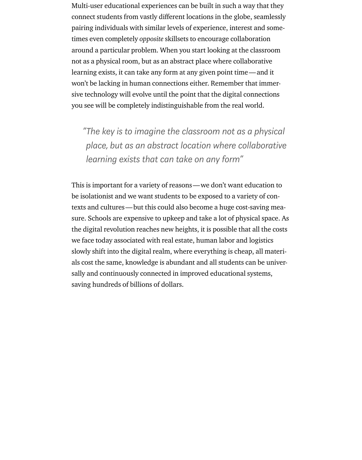Multi-user educational experiences can be built in such a way that they connect students from vastly different locations in the globe, seamlessly pairing individuals with similar levels of experience, interest and sometimes even completely opposite skillsets to encourage collaboration around a particular problem. When you start looking at the classroom not as a physical room, but as an abstract place where collaborative learning exists, it can take any form at any given point time—and it won't be lacking in human connections either. Remember that immersive technology will evolve until the point that the digital connections you see will be completely indistinguishable from the real world.

"The key is to imagine the classroom not as a physical place, but as an abstract location where collaborative learning exists that can take on any form"

This is important for a variety of reasons—we don't want education to be isolationist and we want students to be exposed to a variety of contexts and cultures—but this could also become a huge cost-saving measure. Schools are expensive to upkeep and take a lot of physical space. As the digital revolution reaches new heights, it is possible that all the costs we face today associated with real estate, human labor and logistics slowly shift into the digital realm, where everything is cheap, all materials cost the same, knowledge is abundant and all students can be universally and continuously connected in improved educational systems, saving hundreds of billions of dollars.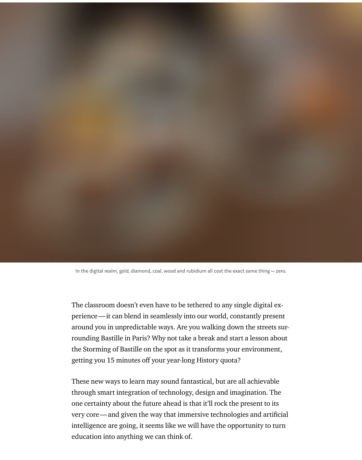In the digital realm, gold, diamond, coal, wood and rubidium all cost the exact same thing—zero.

The classroom doesn't even have to be tethered to any single digital experience—it can blend in seamlessly into our world, constantly present around you in unpredictable ways. Are you walking down the streets surrounding Bastille in Paris? Why not take a break and start a lesson about the Storming of Bastille on the spot as it transforms your environment, getting you 15 minutes off your year-long History quota?

These new ways to learn may sound fantastical, but are all achievable through smart integration of technology, design and imagination. The one certainty about the future ahead is that it'll rock the present to its very core—and given the way that immersive technologies and artificial intelligence are going, it seems like we will have the opportunity to turn education into anything we can think of.